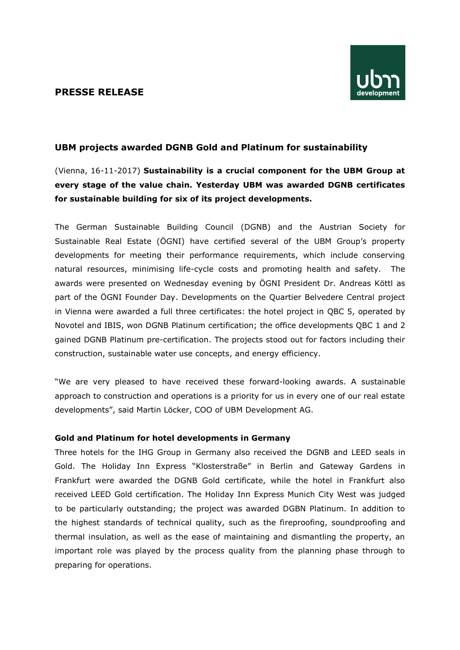### **PRESSE RELEASE**



## **UBM projects awarded DGNB Gold and Platinum for sustainability**

# (Vienna, 16-11-2017) **Sustainability is a crucial component for the UBM Group at every stage of the value chain. Yesterday UBM was awarded DGNB certificates for sustainable building for six of its project developments.**

The German Sustainable Building Council (DGNB) and the Austrian Society for Sustainable Real Estate (ÖGNI) have certified several of the UBM Group's property developments for meeting their performance requirements, which include conserving natural resources, minimising life-cycle costs and promoting health and safety. The awards were presented on Wednesday evening by ÖGNI President Dr. Andreas Köttl as part of the ÖGNI Founder Day. Developments on the Quartier Belvedere Central project in Vienna were awarded a full three certificates: the hotel project in QBC 5, operated by Novotel and IBIS, won DGNB Platinum certification; the office developments QBC 1 and 2 gained DGNB Platinum pre-certification. The projects stood out for factors including their construction, sustainable water use concepts, and energy efficiency.

"We are very pleased to have received these forward-looking awards. A sustainable approach to construction and operations is a priority for us in every one of our real estate developments", said Martin Löcker, COO of UBM Development AG.

#### **Gold and Platinum for hotel developments in Germany**

Three hotels for the IHG Group in Germany also received the DGNB and LEED seals in Gold. The Holiday Inn Express "Klosterstraße" in Berlin and Gateway Gardens in Frankfurt were awarded the DGNB Gold certificate, while the hotel in Frankfurt also received LEED Gold certification. The Holiday Inn Express Munich City West was judged to be particularly outstanding; the project was awarded DGBN Platinum. In addition to the highest standards of technical quality, such as the fireproofing, soundproofing and thermal insulation, as well as the ease of maintaining and dismantling the property, an important role was played by the process quality from the planning phase through to preparing for operations.